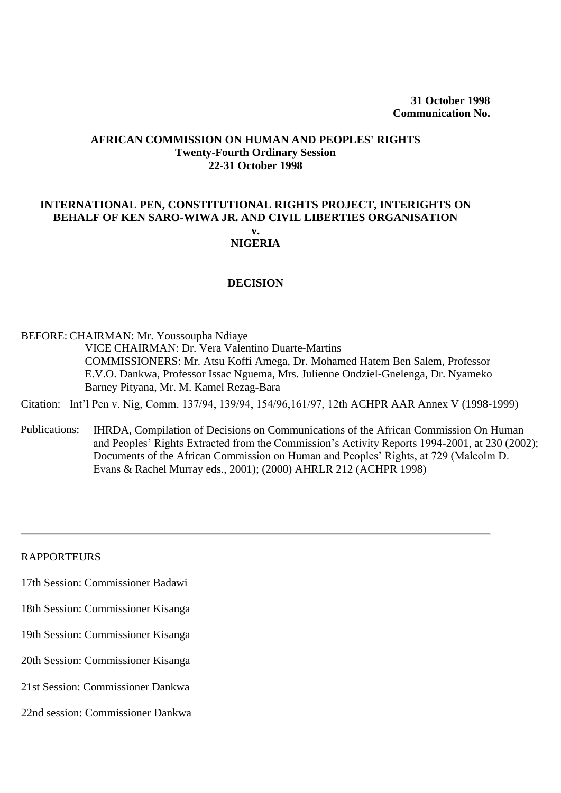#### **AFRICAN COMMISSION ON HUMAN AND PEOPLES' RIGHTS Twenty-Fourth Ordinary Session 22-31 October 1998**

### **INTERNATIONAL PEN, CONSTITUTIONAL RIGHTS PROJECT, INTERIGHTS ON BEHALF OF KEN SARO-WIWA JR. AND CIVIL LIBERTIES ORGANISATION**

#### **v. NIGERIA**

#### **DECISION**

#### BEFORE: CHAIRMAN: Mr. Youssoupha Ndiaye

VICE CHAIRMAN: Dr. Vera Valentino Duarte-Martins COMMISSIONERS: Mr. Atsu Koffi Amega, Dr. Mohamed Hatem Ben Salem, Professor E.V.O. Dankwa, Professor Issac Nguema, Mrs. Julienne Ondziel-Gnelenga, Dr. Nyameko Barney Pityana, Mr. M. Kamel Rezag-Bara

Citation: [Int'l Pen v. Nig, Comm. 137/94, 139/94, 154/96,161/97, 12th ACHPR AAR Annex V \(1998-1999\)](http://www.worldcourts.com/achpr/eng/decisions/1998.10.31_Constitutional_Rights_Project_v_Nigeria.htm) 

Publicatio[ns: IHRD](http://www.worldcourts.com/achpr/eng/decisions/1998.10.31_Constitutional_Rights_Project_v_Nigeria.htm)A, Compilation of Decisions on Communications of the African Commission On Human and Peoples' Rights Extracted from the Commission's Activity Reports 1994-2001, at 230 (2002); Documents of the African Commission on Human and Peoples' Rights, at 729 (Malcolm D. Evans & Rachel Murray eds., 2001); (2000) AHRLR 212 (ACHPR 1998)

#### RAPPORTEURS

- 17th Session: Commissioner Badawi
- 18th Session: Commissioner Kisanga
- 19th Session: Commissioner Kisanga
- 20th Session: Commissioner Kisanga
- 21st Session: Commissioner Dankwa
- 22nd session: Commissioner Dankwa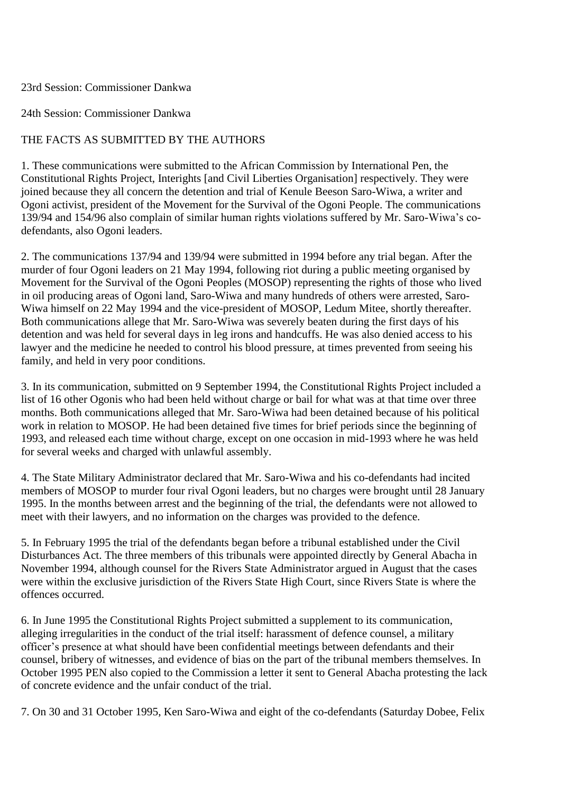#### 23rd Session: Commissioner Dankwa

### 24th Session: Commissioner Dankwa

## THE FACTS AS SUBMITTED BY THE AUTHORS

1. These communications were submitted to the African Commission by International Pen, the Constitutional Rights Project, Interights [and Civil Liberties Organisation] respectively. They were joined because they all concern the detention and trial of Kenule Beeson Saro-Wiwa, a writer and Ogoni activist, president of the Movement for the Survival of the Ogoni People. The communications 139/94 and 154/96 also complain of similar human rights violations suffered by Mr. Saro-Wiwa's codefendants, also Ogoni leaders.

2. The communications 137/94 and 139/94 were submitted in 1994 before any trial began. After the murder of four Ogoni leaders on 21 May 1994, following riot during a public meeting organised by Movement for the Survival of the Ogoni Peoples (MOSOP) representing the rights of those who lived in oil producing areas of Ogoni land, Saro-Wiwa and many hundreds of others were arrested, Saro-Wiwa himself on 22 May 1994 and the vice-president of MOSOP, Ledum Mitee, shortly thereafter. Both communications allege that Mr. Saro-Wiwa was severely beaten during the first days of his detention and was held for several days in leg irons and handcuffs. He was also denied access to his lawyer and the medicine he needed to control his blood pressure, at times prevented from seeing his family, and held in very poor conditions.

3. In its communication, submitted on 9 September 1994, the Constitutional Rights Project included a list of 16 other Ogonis who had been held without charge or bail for what was at that time over three months. Both communications alleged that Mr. Saro-Wiwa had been detained because of his political work in relation to MOSOP. He had been detained five times for brief periods since the beginning of 1993, and released each time without charge, except on one occasion in mid-1993 where he was held for several weeks and charged with unlawful assembly.

4. The State Military Administrator declared that Mr. Saro-Wiwa and his co-defendants had incited members of MOSOP to murder four rival Ogoni leaders, but no charges were brought until 28 January 1995. In the months between arrest and the beginning of the trial, the defendants were not allowed to meet with their lawyers, and no information on the charges was provided to the defence.

5. In February 1995 the trial of the defendants began before a tribunal established under the Civil Disturbances Act. The three members of this tribunals were appointed directly by General Abacha in November 1994, although counsel for the Rivers State Administrator argued in August that the cases were within the exclusive jurisdiction of the Rivers State High Court, since Rivers State is where the offences occurred.

6. In June 1995 the Constitutional Rights Project submitted a supplement to its communication, alleging irregularities in the conduct of the trial itself: harassment of defence counsel, a military officer's presence at what should have been confidential meetings between defendants and their counsel, bribery of witnesses, and evidence of bias on the part of the tribunal members themselves. In October 1995 PEN also copied to the Commission a letter it sent to General Abacha protesting the lack of concrete evidence and the unfair conduct of the trial.

7. On 30 and 31 October 1995, Ken Saro-Wiwa and eight of the co-defendants (Saturday Dobee, Felix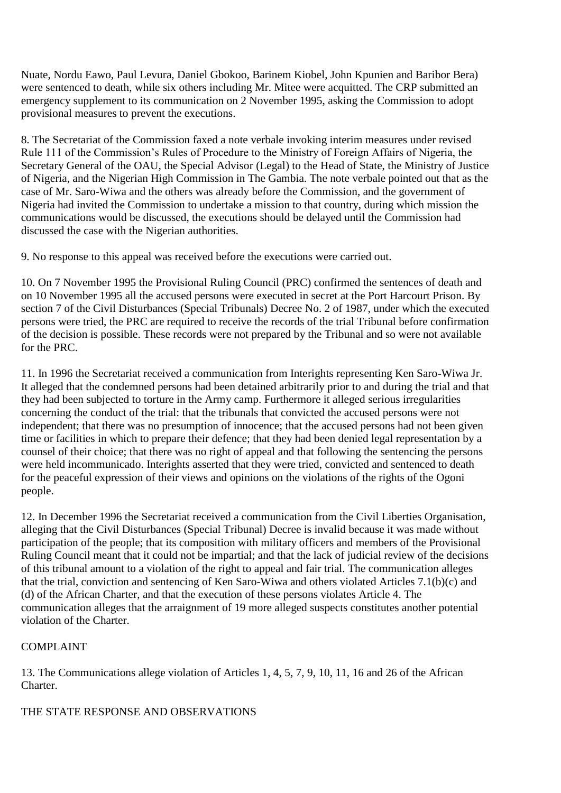Nuate, Nordu Eawo, Paul Levura, Daniel Gbokoo, Barinem Kiobel, John Kpunien and Baribor Bera) were sentenced to death, while six others including Mr. Mitee were acquitted. The CRP submitted an emergency supplement to its communication on 2 November 1995, asking the Commission to adopt provisional measures to prevent the executions.

8. The Secretariat of the Commission faxed a note verbale invoking interim measures under revised Rule 111 of the Commission's Rules of Procedure to the Ministry of Foreign Affairs of Nigeria, the Secretary General of the OAU, the Special Advisor (Legal) to the Head of State, the Ministry of Justice of Nigeria, and the Nigerian High Commission in The Gambia. The note verbale pointed out that as the case of Mr. Saro-Wiwa and the others was already before the Commission, and the government of Nigeria had invited the Commission to undertake a mission to that country, during which mission the communications would be discussed, the executions should be delayed until the Commission had discussed the case with the Nigerian authorities.

9. No response to this appeal was received before the executions were carried out.

10. On 7 November 1995 the Provisional Ruling Council (PRC) confirmed the sentences of death and on 10 November 1995 all the accused persons were executed in secret at the Port Harcourt Prison. By section 7 of the Civil Disturbances (Special Tribunals) Decree No. 2 of 1987, under which the executed persons were tried, the PRC are required to receive the records of the trial Tribunal before confirmation of the decision is possible. These records were not prepared by the Tribunal and so were not available for the PRC.

11. In 1996 the Secretariat received a communication from Interights representing Ken Saro-Wiwa Jr. It alleged that the condemned persons had been detained arbitrarily prior to and during the trial and that they had been subjected to torture in the Army camp. Furthermore it alleged serious irregularities concerning the conduct of the trial: that the tribunals that convicted the accused persons were not independent; that there was no presumption of innocence; that the accused persons had not been given time or facilities in which to prepare their defence; that they had been denied legal representation by a counsel of their choice; that there was no right of appeal and that following the sentencing the persons were held incommunicado. Interights asserted that they were tried, convicted and sentenced to death for the peaceful expression of their views and opinions on the violations of the rights of the Ogoni people.

12. In December 1996 the Secretariat received a communication from the Civil Liberties Organisation, alleging that the Civil Disturbances (Special Tribunal) Decree is invalid because it was made without participation of the people; that its composition with military officers and members of the Provisional Ruling Council meant that it could not be impartial; and that the lack of judicial review of the decisions of this tribunal amount to a violation of the right to appeal and fair trial. The communication alleges that the trial, conviction and sentencing of Ken Saro-Wiwa and others violated Articles 7.1(b)(c) and (d) of the African Charter, and that the execution of these persons violates Article 4. The communication alleges that the arraignment of 19 more alleged suspects constitutes another potential violation of the Charter.

# COMPLAINT

13. The Communications allege violation of Articles 1, 4, 5, 7, 9, 10, 11, 16 and 26 of the African Charter.

# THE STATE RESPONSE AND OBSERVATIONS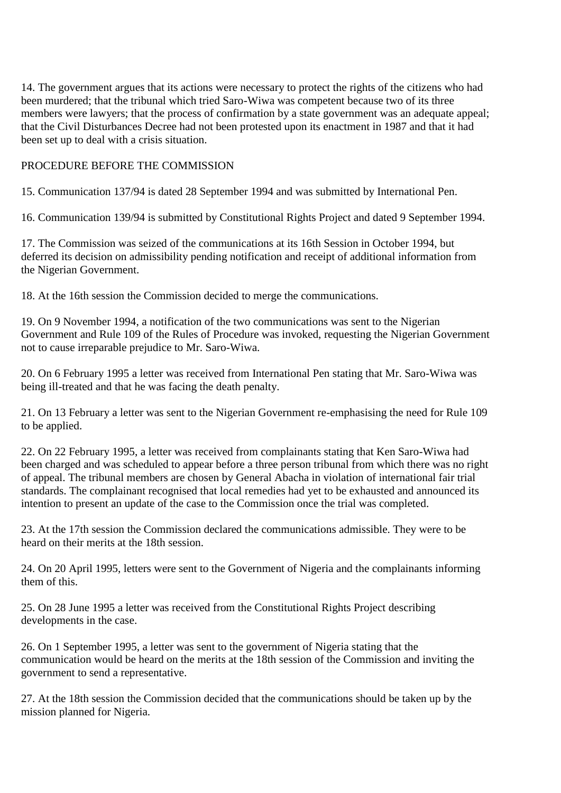14. The government argues that its actions were necessary to protect the rights of the citizens who had been murdered; that the tribunal which tried Saro-Wiwa was competent because two of its three members were lawyers; that the process of confirmation by a state government was an adequate appeal; that the Civil Disturbances Decree had not been protested upon its enactment in 1987 and that it had been set up to deal with a crisis situation.

## PROCEDURE BEFORE THE COMMISSION

15. Communication 137/94 is dated 28 September 1994 and was submitted by International Pen.

16. Communication 139/94 is submitted by Constitutional Rights Project and dated 9 September 1994.

17. The Commission was seized of the communications at its 16th Session in October 1994, but deferred its decision on admissibility pending notification and receipt of additional information from the Nigerian Government.

18. At the 16th session the Commission decided to merge the communications.

19. On 9 November 1994, a notification of the two communications was sent to the Nigerian Government and Rule 109 of the Rules of Procedure was invoked, requesting the Nigerian Government not to cause irreparable prejudice to Mr. Saro-Wiwa.

20. On 6 February 1995 a letter was received from International Pen stating that Mr. Saro-Wiwa was being ill-treated and that he was facing the death penalty.

21. On 13 February a letter was sent to the Nigerian Government re-emphasising the need for Rule 109 to be applied.

22. On 22 February 1995, a letter was received from complainants stating that Ken Saro-Wiwa had been charged and was scheduled to appear before a three person tribunal from which there was no right of appeal. The tribunal members are chosen by General Abacha in violation of international fair trial standards. The complainant recognised that local remedies had yet to be exhausted and announced its intention to present an update of the case to the Commission once the trial was completed.

23. At the 17th session the Commission declared the communications admissible. They were to be heard on their merits at the 18th session.

24. On 20 April 1995, letters were sent to the Government of Nigeria and the complainants informing them of this.

25. On 28 June 1995 a letter was received from the Constitutional Rights Project describing developments in the case.

26. On 1 September 1995, a letter was sent to the government of Nigeria stating that the communication would be heard on the merits at the 18th session of the Commission and inviting the government to send a representative.

27. At the 18th session the Commission decided that the communications should be taken up by the mission planned for Nigeria.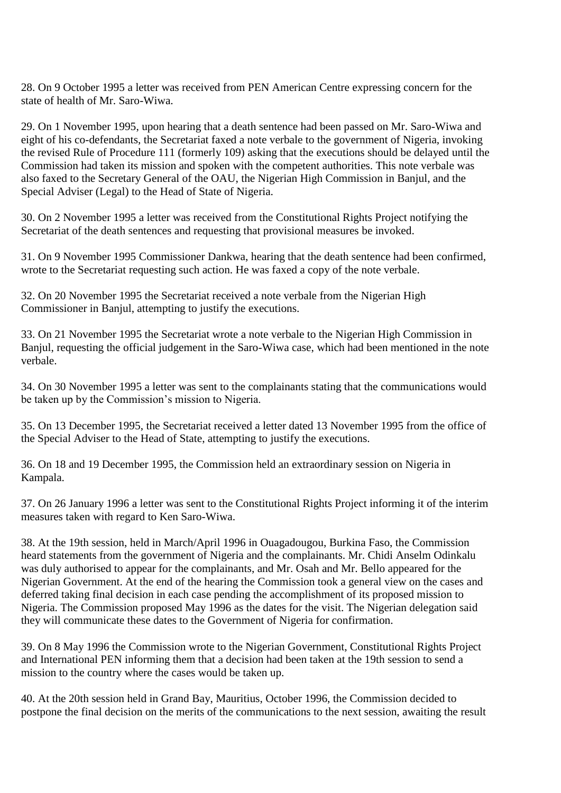28. On 9 October 1995 a letter was received from PEN American Centre expressing concern for the state of health of Mr. Saro-Wiwa.

29. On 1 November 1995, upon hearing that a death sentence had been passed on Mr. Saro-Wiwa and eight of his co-defendants, the Secretariat faxed a note verbale to the government of Nigeria, invoking the revised Rule of Procedure 111 (formerly 109) asking that the executions should be delayed until the Commission had taken its mission and spoken with the competent authorities. This note verbale was also faxed to the Secretary General of the OAU, the Nigerian High Commission in Banjul, and the Special Adviser (Legal) to the Head of State of Nigeria.

30. On 2 November 1995 a letter was received from the Constitutional Rights Project notifying the Secretariat of the death sentences and requesting that provisional measures be invoked.

31. On 9 November 1995 Commissioner Dankwa, hearing that the death sentence had been confirmed, wrote to the Secretariat requesting such action. He was faxed a copy of the note verbale.

32. On 20 November 1995 the Secretariat received a note verbale from the Nigerian High Commissioner in Banjul, attempting to justify the executions.

33. On 21 November 1995 the Secretariat wrote a note verbale to the Nigerian High Commission in Banjul, requesting the official judgement in the Saro-Wiwa case, which had been mentioned in the note verbale.

34. On 30 November 1995 a letter was sent to the complainants stating that the communications would be taken up by the Commission's mission to Nigeria.

35. On 13 December 1995, the Secretariat received a letter dated 13 November 1995 from the office of the Special Adviser to the Head of State, attempting to justify the executions.

36. On 18 and 19 December 1995, the Commission held an extraordinary session on Nigeria in Kampala.

37. On 26 January 1996 a letter was sent to the Constitutional Rights Project informing it of the interim measures taken with regard to Ken Saro-Wiwa.

38. At the 19th session, held in March/April 1996 in Ouagadougou, Burkina Faso, the Commission heard statements from the government of Nigeria and the complainants. Mr. Chidi Anselm Odinkalu was duly authorised to appear for the complainants, and Mr. Osah and Mr. Bello appeared for the Nigerian Government. At the end of the hearing the Commission took a general view on the cases and deferred taking final decision in each case pending the accomplishment of its proposed mission to Nigeria. The Commission proposed May 1996 as the dates for the visit. The Nigerian delegation said they will communicate these dates to the Government of Nigeria for confirmation.

39. On 8 May 1996 the Commission wrote to the Nigerian Government, Constitutional Rights Project and International PEN informing them that a decision had been taken at the 19th session to send a mission to the country where the cases would be taken up.

40. At the 20th session held in Grand Bay, Mauritius, October 1996, the Commission decided to postpone the final decision on the merits of the communications to the next session, awaiting the result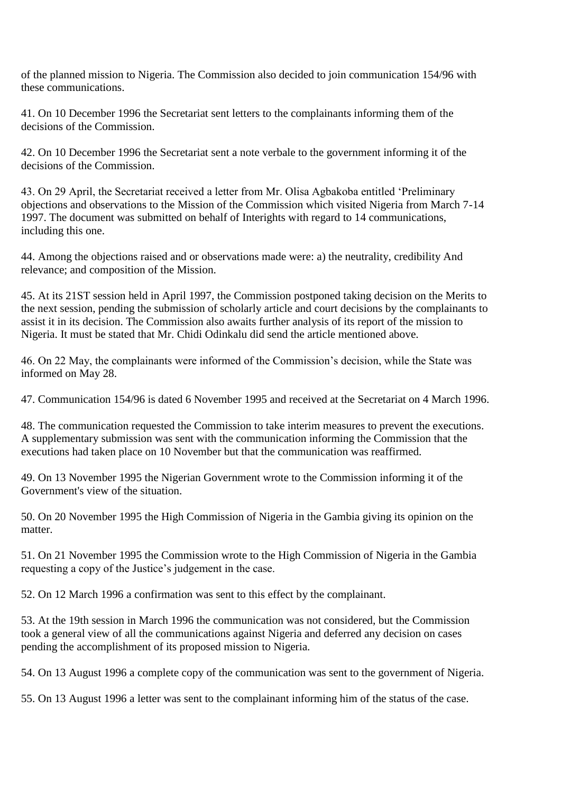of the planned mission to Nigeria. The Commission also decided to join communication 154/96 with these communications.

41. On 10 December 1996 the Secretariat sent letters to the complainants informing them of the decisions of the Commission.

42. On 10 December 1996 the Secretariat sent a note verbale to the government informing it of the decisions of the Commission.

43. On 29 April, the Secretariat received a letter from Mr. Olisa Agbakoba entitled 'Preliminary objections and observations to the Mission of the Commission which visited Nigeria from March 7-14 1997. The document was submitted on behalf of Interights with regard to 14 communications, including this one.

44. Among the objections raised and or observations made were: a) the neutrality, credibility And relevance; and composition of the Mission.

45. At its 21ST session held in April 1997, the Commission postponed taking decision on the Merits to the next session, pending the submission of scholarly article and court decisions by the complainants to assist it in its decision. The Commission also awaits further analysis of its report of the mission to Nigeria. It must be stated that Mr. Chidi Odinkalu did send the article mentioned above.

46. On 22 May, the complainants were informed of the Commission's decision, while the State was informed on May 28.

47. Communication 154/96 is dated 6 November 1995 and received at the Secretariat on 4 March 1996.

48. The communication requested the Commission to take interim measures to prevent the executions. A supplementary submission was sent with the communication informing the Commission that the executions had taken place on 10 November but that the communication was reaffirmed.

49. On 13 November 1995 the Nigerian Government wrote to the Commission informing it of the Government's view of the situation.

50. On 20 November 1995 the High Commission of Nigeria in the Gambia giving its opinion on the matter.

51. On 21 November 1995 the Commission wrote to the High Commission of Nigeria in the Gambia requesting a copy of the Justice's judgement in the case.

52. On 12 March 1996 a confirmation was sent to this effect by the complainant.

53. At the 19th session in March 1996 the communication was not considered, but the Commission took a general view of all the communications against Nigeria and deferred any decision on cases pending the accomplishment of its proposed mission to Nigeria.

54. On 13 August 1996 a complete copy of the communication was sent to the government of Nigeria.

55. On 13 August 1996 a letter was sent to the complainant informing him of the status of the case.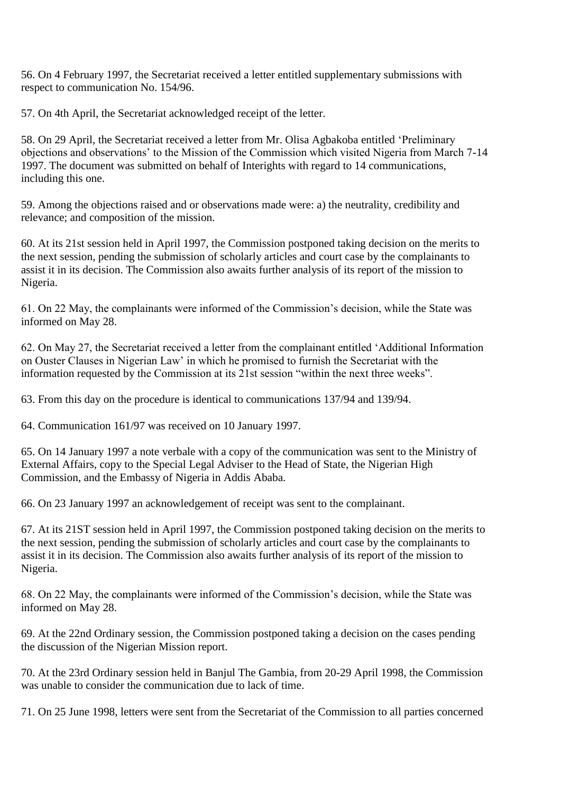56. On 4 February 1997, the Secretariat received a letter entitled supplementary submissions with respect to communication No. 154/96.

57. On 4th April, the Secretariat acknowledged receipt of the letter.

58. On 29 April, the Secretariat received a letter from Mr. Olisa Agbakoba entitled 'Preliminary objections and observations' to the Mission of the Commission which visited Nigeria from March 7-14 1997. The document was submitted on behalf of Interights with regard to 14 communications, including this one.

59. Among the objections raised and or observations made were: a) the neutrality, credibility and relevance; and composition of the mission.

60. At its 21st session held in April 1997, the Commission postponed taking decision on the merits to the next session, pending the submission of scholarly articles and court case by the complainants to assist it in its decision. The Commission also awaits further analysis of its report of the mission to Nigeria.

61. On 22 May, the complainants were informed of the Commission's decision, while the State was informed on May 28.

62. On May 27, the Secretariat received a letter from the complainant entitled 'Additional Information on Ouster Clauses in Nigerian Law' in which he promised to furnish the Secretariat with the information requested by the Commission at its 21st session "within the next three weeks".

63. From this day on the procedure is identical to communications 137/94 and 139/94.

64. Communication 161/97 was received on 10 January 1997.

65. On 14 January 1997 a note verbale with a copy of the communication was sent to the Ministry of External Affairs, copy to the Special Legal Adviser to the Head of State, the Nigerian High Commission, and the Embassy of Nigeria in Addis Ababa.

66. On 23 January 1997 an acknowledgement of receipt was sent to the complainant.

67. At its 21ST session held in April 1997, the Commission postponed taking decision on the merits to the next session, pending the submission of scholarly articles and court case by the complainants to assist it in its decision. The Commission also awaits further analysis of its report of the mission to Nigeria.

68. On 22 May, the complainants were informed of the Commission's decision, while the State was informed on May 28.

69. At the 22nd Ordinary session, the Commission postponed taking a decision on the cases pending the discussion of the Nigerian Mission report.

70. At the 23rd Ordinary session held in Banjul The Gambia, from 20-29 April 1998, the Commission was unable to consider the communication due to lack of time.

71. On 25 June 1998, letters were sent from the Secretariat of the Commission to all parties concerned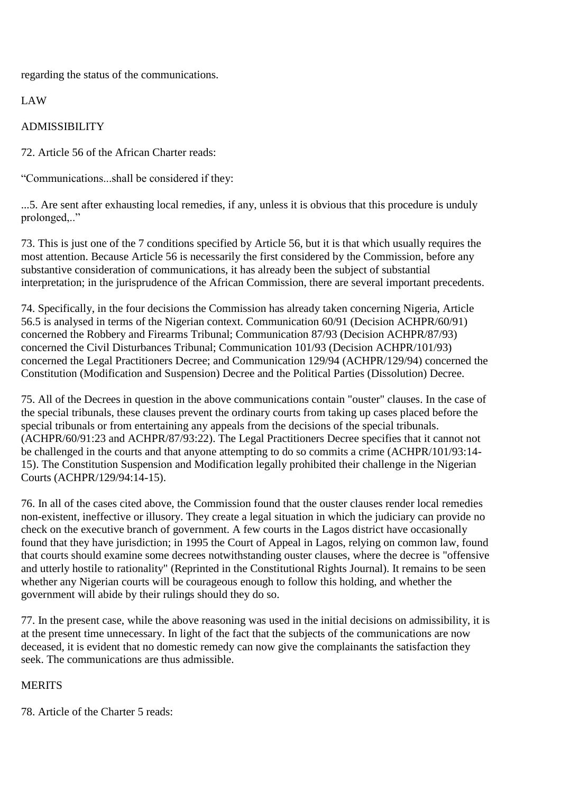regarding the status of the communications.

LAW

# ADMISSIBILITY

72. Article 56 of the African Charter reads:

"Communications...shall be considered if they:

...5. Are sent after exhausting local remedies, if any, unless it is obvious that this procedure is unduly prolonged,.."

73. This is just one of the 7 conditions specified by Article 56, but it is that which usually requires the most attention. Because Article 56 is necessarily the first considered by the Commission, before any substantive consideration of communications, it has already been the subject of substantial interpretation; in the jurisprudence of the African Commission, there are several important precedents.

74. Specifically, in the four decisions the Commission has already taken concerning Nigeria, Article 56.5 is analysed in terms of the Nigerian context. Communication 60/91 (Decision ACHPR/60/91) concerned the Robbery and Firearms Tribunal; Communication 87/93 (Decision ACHPR/87/93) concerned the Civil Disturbances Tribunal; Communication 101/93 (Decision ACHPR/101/93) concerned the Legal Practitioners Decree; and Communication 129/94 (ACHPR/129/94) concerned the Constitution (Modification and Suspension) Decree and the Political Parties (Dissolution) Decree.

75. All of the Decrees in question in the above communications contain "ouster" clauses. In the case of the special tribunals, these clauses prevent the ordinary courts from taking up cases placed before the special tribunals or from entertaining any appeals from the decisions of the special tribunals. (ACHPR/60/91:23 and ACHPR/87/93:22). The Legal Practitioners Decree specifies that it cannot not be challenged in the courts and that anyone attempting to do so commits a crime (ACHPR/101/93:14- 15). The Constitution Suspension and Modification legally prohibited their challenge in the Nigerian Courts (ACHPR/129/94:14-15).

76. In all of the cases cited above, the Commission found that the ouster clauses render local remedies non-existent, ineffective or illusory. They create a legal situation in which the judiciary can provide no check on the executive branch of government. A few courts in the Lagos district have occasionally found that they have jurisdiction; in 1995 the Court of Appeal in Lagos, relying on common law, found that courts should examine some decrees notwithstanding ouster clauses, where the decree is "offensive and utterly hostile to rationality" (Reprinted in the Constitutional Rights Journal). It remains to be seen whether any Nigerian courts will be courageous enough to follow this holding, and whether the government will abide by their rulings should they do so.

77. In the present case, while the above reasoning was used in the initial decisions on admissibility, it is at the present time unnecessary. In light of the fact that the subjects of the communications are now deceased, it is evident that no domestic remedy can now give the complainants the satisfaction they seek. The communications are thus admissible.

# **MERITS**

78. Article of the Charter 5 reads: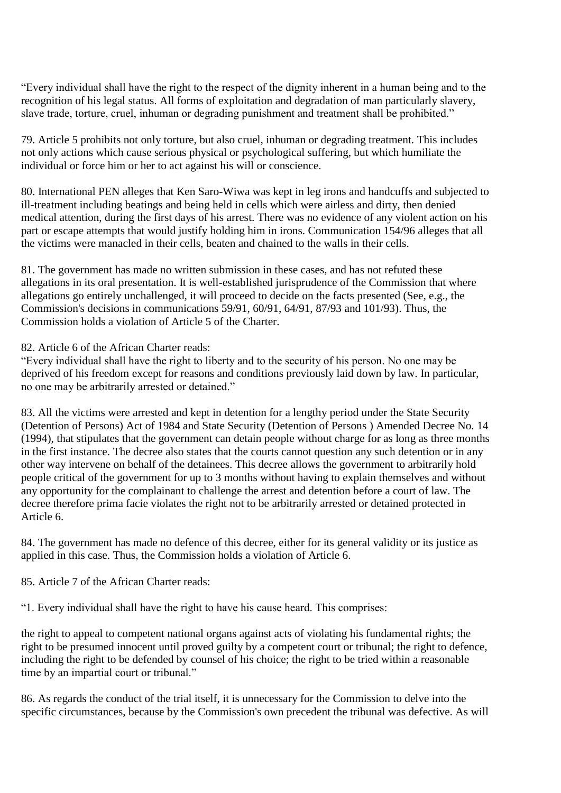"Every individual shall have the right to the respect of the dignity inherent in a human being and to the recognition of his legal status. All forms of exploitation and degradation of man particularly slavery, slave trade, torture, cruel, inhuman or degrading punishment and treatment shall be prohibited."

79. Article 5 prohibits not only torture, but also cruel, inhuman or degrading treatment. This includes not only actions which cause serious physical or psychological suffering, but which humiliate the individual or force him or her to act against his will or conscience.

80. International PEN alleges that Ken Saro-Wiwa was kept in leg irons and handcuffs and subjected to ill-treatment including beatings and being held in cells which were airless and dirty, then denied medical attention, during the first days of his arrest. There was no evidence of any violent action on his part or escape attempts that would justify holding him in irons. Communication 154/96 alleges that all the victims were manacled in their cells, beaten and chained to the walls in their cells.

81. The government has made no written submission in these cases, and has not refuted these allegations in its oral presentation. It is well-established jurisprudence of the Commission that where allegations go entirely unchallenged, it will proceed to decide on the facts presented (See, e.g., the Commission's decisions in communications 59/91, 60/91, 64/91, 87/93 and 101/93). Thus, the Commission holds a violation of Article 5 of the Charter.

82. Article 6 of the African Charter reads:

"Every individual shall have the right to liberty and to the security of his person. No one may be deprived of his freedom except for reasons and conditions previously laid down by law. In particular, no one may be arbitrarily arrested or detained."

83. All the victims were arrested and kept in detention for a lengthy period under the State Security (Detention of Persons) Act of 1984 and State Security (Detention of Persons ) Amended Decree No. 14 (1994), that stipulates that the government can detain people without charge for as long as three months in the first instance. The decree also states that the courts cannot question any such detention or in any other way intervene on behalf of the detainees. This decree allows the government to arbitrarily hold people critical of the government for up to 3 months without having to explain themselves and without any opportunity for the complainant to challenge the arrest and detention before a court of law. The decree therefore prima facie violates the right not to be arbitrarily arrested or detained protected in Article 6.

84. The government has made no defence of this decree, either for its general validity or its justice as applied in this case. Thus, the Commission holds a violation of Article 6.

85. Article 7 of the African Charter reads:

"1. Every individual shall have the right to have his cause heard. This comprises:

the right to appeal to competent national organs against acts of violating his fundamental rights; the right to be presumed innocent until proved guilty by a competent court or tribunal; the right to defence, including the right to be defended by counsel of his choice; the right to be tried within a reasonable time by an impartial court or tribunal."

86. As regards the conduct of the trial itself, it is unnecessary for the Commission to delve into the specific circumstances, because by the Commission's own precedent the tribunal was defective. As will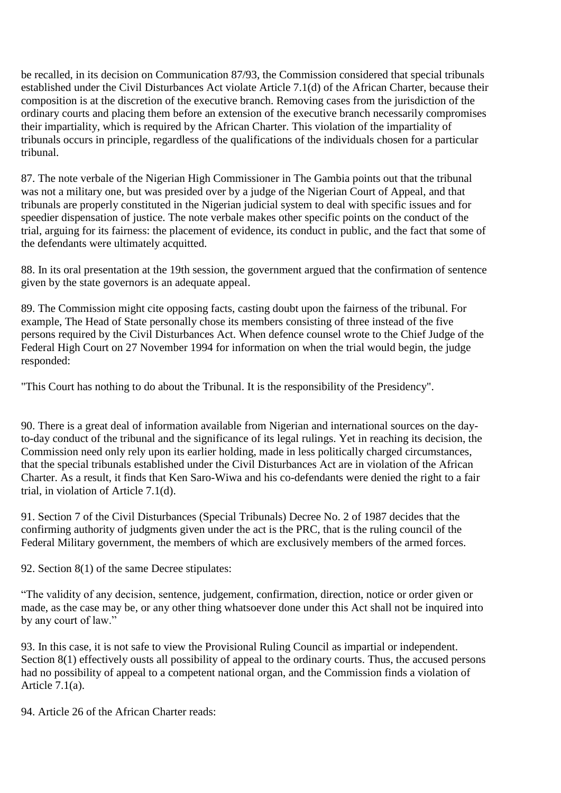be recalled, in its decision on Communication 87/93, the Commission considered that special tribunals established under the Civil Disturbances Act violate Article 7.1(d) of the African Charter, because their composition is at the discretion of the executive branch. Removing cases from the jurisdiction of the ordinary courts and placing them before an extension of the executive branch necessarily compromises their impartiality, which is required by the African Charter. This violation of the impartiality of tribunals occurs in principle, regardless of the qualifications of the individuals chosen for a particular tribunal.

87. The note verbale of the Nigerian High Commissioner in The Gambia points out that the tribunal was not a military one, but was presided over by a judge of the Nigerian Court of Appeal, and that tribunals are properly constituted in the Nigerian judicial system to deal with specific issues and for speedier dispensation of justice. The note verbale makes other specific points on the conduct of the trial, arguing for its fairness: the placement of evidence, its conduct in public, and the fact that some of the defendants were ultimately acquitted.

88. In its oral presentation at the 19th session, the government argued that the confirmation of sentence given by the state governors is an adequate appeal.

89. The Commission might cite opposing facts, casting doubt upon the fairness of the tribunal. For example, The Head of State personally chose its members consisting of three instead of the five persons required by the Civil Disturbances Act. When defence counsel wrote to the Chief Judge of the Federal High Court on 27 November 1994 for information on when the trial would begin, the judge responded:

"This Court has nothing to do about the Tribunal. It is the responsibility of the Presidency".

90. There is a great deal of information available from Nigerian and international sources on the dayto-day conduct of the tribunal and the significance of its legal rulings. Yet in reaching its decision, the Commission need only rely upon its earlier holding, made in less politically charged circumstances, that the special tribunals established under the Civil Disturbances Act are in violation of the African Charter. As a result, it finds that Ken Saro-Wiwa and his co-defendants were denied the right to a fair trial, in violation of Article 7.1(d).

91. Section 7 of the Civil Disturbances (Special Tribunals) Decree No. 2 of 1987 decides that the confirming authority of judgments given under the act is the PRC, that is the ruling council of the Federal Military government, the members of which are exclusively members of the armed forces.

92. Section 8(1) of the same Decree stipulates:

"The validity of any decision, sentence, judgement, confirmation, direction, notice or order given or made, as the case may be, or any other thing whatsoever done under this Act shall not be inquired into by any court of law."

93. In this case, it is not safe to view the Provisional Ruling Council as impartial or independent. Section 8(1) effectively ousts all possibility of appeal to the ordinary courts. Thus, the accused persons had no possibility of appeal to a competent national organ, and the Commission finds a violation of Article  $7.1(a)$ .

94. Article 26 of the African Charter reads: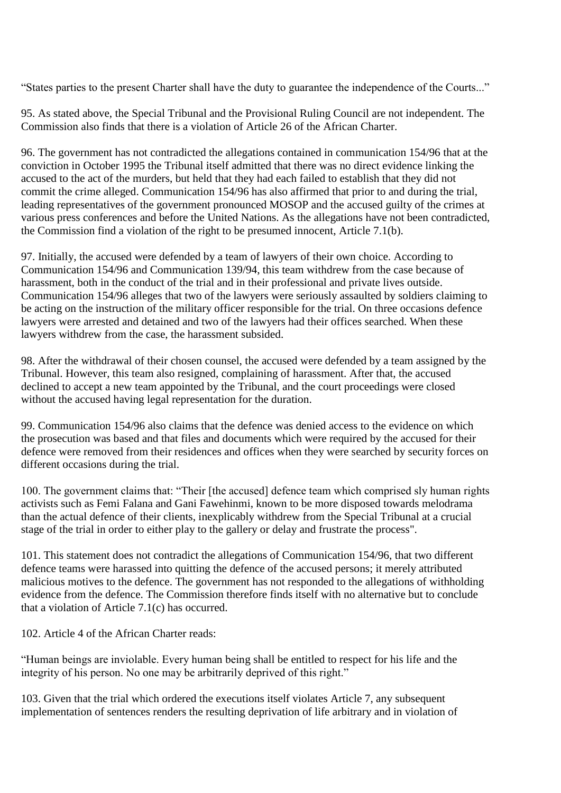"States parties to the present Charter shall have the duty to guarantee the independence of the Courts..."

95. As stated above, the Special Tribunal and the Provisional Ruling Council are not independent. The Commission also finds that there is a violation of Article 26 of the African Charter.

96. The government has not contradicted the allegations contained in communication 154/96 that at the conviction in October 1995 the Tribunal itself admitted that there was no direct evidence linking the accused to the act of the murders, but held that they had each failed to establish that they did not commit the crime alleged. Communication 154/96 has also affirmed that prior to and during the trial, leading representatives of the government pronounced MOSOP and the accused guilty of the crimes at various press conferences and before the United Nations. As the allegations have not been contradicted, the Commission find a violation of the right to be presumed innocent, Article 7.1(b).

97. Initially, the accused were defended by a team of lawyers of their own choice. According to Communication 154/96 and Communication 139/94, this team withdrew from the case because of harassment, both in the conduct of the trial and in their professional and private lives outside. Communication 154/96 alleges that two of the lawyers were seriously assaulted by soldiers claiming to be acting on the instruction of the military officer responsible for the trial. On three occasions defence lawyers were arrested and detained and two of the lawyers had their offices searched. When these lawyers withdrew from the case, the harassment subsided.

98. After the withdrawal of their chosen counsel, the accused were defended by a team assigned by the Tribunal. However, this team also resigned, complaining of harassment. After that, the accused declined to accept a new team appointed by the Tribunal, and the court proceedings were closed without the accused having legal representation for the duration.

99. Communication 154/96 also claims that the defence was denied access to the evidence on which the prosecution was based and that files and documents which were required by the accused for their defence were removed from their residences and offices when they were searched by security forces on different occasions during the trial.

100. The government claims that: "Their [the accused] defence team which comprised sly human rights activists such as Femi Falana and Gani Fawehinmi, known to be more disposed towards melodrama than the actual defence of their clients, inexplicably withdrew from the Special Tribunal at a crucial stage of the trial in order to either play to the gallery or delay and frustrate the process".

101. This statement does not contradict the allegations of Communication 154/96, that two different defence teams were harassed into quitting the defence of the accused persons; it merely attributed malicious motives to the defence. The government has not responded to the allegations of withholding evidence from the defence. The Commission therefore finds itself with no alternative but to conclude that a violation of Article 7.1(c) has occurred.

102. Article 4 of the African Charter reads:

"Human beings are inviolable. Every human being shall be entitled to respect for his life and the integrity of his person. No one may be arbitrarily deprived of this right."

103. Given that the trial which ordered the executions itself violates Article 7, any subsequent implementation of sentences renders the resulting deprivation of life arbitrary and in violation of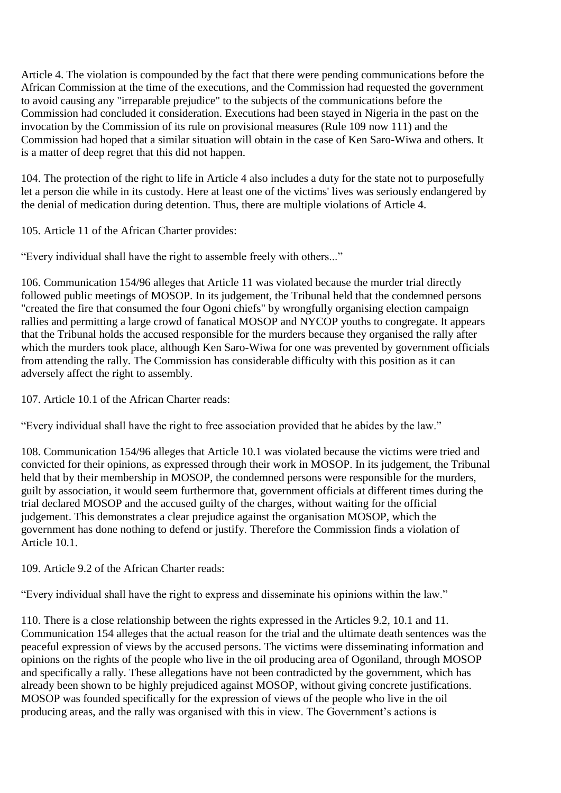Article 4. The violation is compounded by the fact that there were pending communications before the African Commission at the time of the executions, and the Commission had requested the government to avoid causing any "irreparable prejudice" to the subjects of the communications before the Commission had concluded it consideration. Executions had been stayed in Nigeria in the past on the invocation by the Commission of its rule on provisional measures (Rule 109 now 111) and the Commission had hoped that a similar situation will obtain in the case of Ken Saro-Wiwa and others. It is a matter of deep regret that this did not happen.

104. The protection of the right to life in Article 4 also includes a duty for the state not to purposefully let a person die while in its custody. Here at least one of the victims' lives was seriously endangered by the denial of medication during detention. Thus, there are multiple violations of Article 4.

105. Article 11 of the African Charter provides:

"Every individual shall have the right to assemble freely with others..."

106. Communication 154/96 alleges that Article 11 was violated because the murder trial directly followed public meetings of MOSOP. In its judgement, the Tribunal held that the condemned persons "created the fire that consumed the four Ogoni chiefs" by wrongfully organising election campaign rallies and permitting a large crowd of fanatical MOSOP and NYCOP youths to congregate. It appears that the Tribunal holds the accused responsible for the murders because they organised the rally after which the murders took place, although Ken Saro-Wiwa for one was prevented by government officials from attending the rally. The Commission has considerable difficulty with this position as it can adversely affect the right to assembly.

107. Article 10.1 of the African Charter reads:

"Every individual shall have the right to free association provided that he abides by the law."

108. Communication 154/96 alleges that Article 10.1 was violated because the victims were tried and convicted for their opinions, as expressed through their work in MOSOP. In its judgement, the Tribunal held that by their membership in MOSOP, the condemned persons were responsible for the murders, guilt by association, it would seem furthermore that, government officials at different times during the trial declared MOSOP and the accused guilty of the charges, without waiting for the official judgement. This demonstrates a clear prejudice against the organisation MOSOP, which the government has done nothing to defend or justify. Therefore the Commission finds a violation of Article 10.1.

109. Article 9.2 of the African Charter reads:

"Every individual shall have the right to express and disseminate his opinions within the law."

110. There is a close relationship between the rights expressed in the Articles 9.2, 10.1 and 11. Communication 154 alleges that the actual reason for the trial and the ultimate death sentences was the peaceful expression of views by the accused persons. The victims were disseminating information and opinions on the rights of the people who live in the oil producing area of Ogoniland, through MOSOP and specifically a rally. These allegations have not been contradicted by the government, which has already been shown to be highly prejudiced against MOSOP, without giving concrete justifications. MOSOP was founded specifically for the expression of views of the people who live in the oil producing areas, and the rally was organised with this in view. The Government's actions is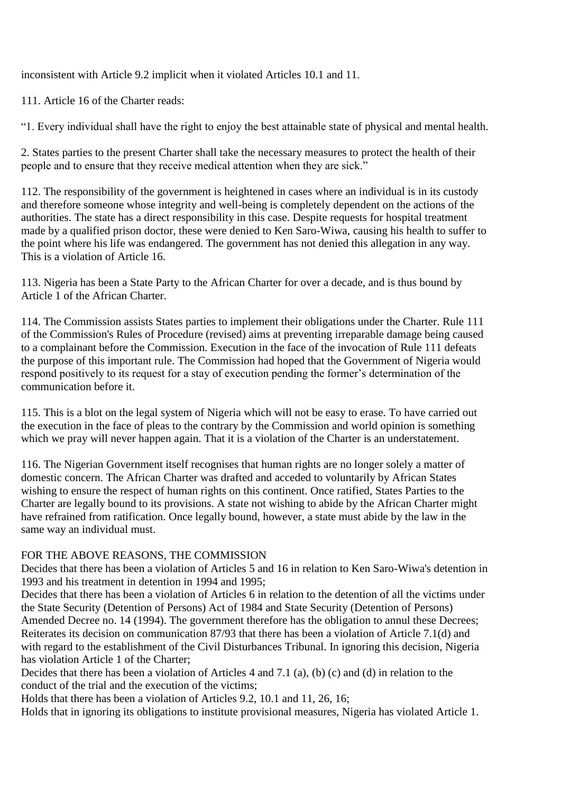inconsistent with Article 9.2 implicit when it violated Articles 10.1 and 11.

111. Article 16 of the Charter reads:

"1. Every individual shall have the right to enjoy the best attainable state of physical and mental health.

2. States parties to the present Charter shall take the necessary measures to protect the health of their people and to ensure that they receive medical attention when they are sick."

112. The responsibility of the government is heightened in cases where an individual is in its custody and therefore someone whose integrity and well-being is completely dependent on the actions of the authorities. The state has a direct responsibility in this case. Despite requests for hospital treatment made by a qualified prison doctor, these were denied to Ken Saro-Wiwa, causing his health to suffer to the point where his life was endangered. The government has not denied this allegation in any way. This is a violation of Article 16.

113. Nigeria has been a State Party to the African Charter for over a decade, and is thus bound by Article 1 of the African Charter.

114. The Commission assists States parties to implement their obligations under the Charter. Rule 111 of the Commission's Rules of Procedure (revised) aims at preventing irreparable damage being caused to a complainant before the Commission. Execution in the face of the invocation of Rule 111 defeats the purpose of this important rule. The Commission had hoped that the Government of Nigeria would respond positively to its request for a stay of execution pending the former's determination of the communication before it.

115. This is a blot on the legal system of Nigeria which will not be easy to erase. To have carried out the execution in the face of pleas to the contrary by the Commission and world opinion is something which we pray will never happen again. That it is a violation of the Charter is an understatement.

116. The Nigerian Government itself recognises that human rights are no longer solely a matter of domestic concern. The African Charter was drafted and acceded to voluntarily by African States wishing to ensure the respect of human rights on this continent. Once ratified, States Parties to the Charter are legally bound to its provisions. A state not wishing to abide by the African Charter might have refrained from ratification. Once legally bound, however, a state must abide by the law in the same way an individual must.

## FOR THE ABOVE REASONS, THE COMMISSION

Decides that there has been a violation of Articles 5 and 16 in relation to Ken Saro-Wiwa's detention in 1993 and his treatment in detention in 1994 and 1995;

Decides that there has been a violation of Articles 6 in relation to the detention of all the victims under the State Security (Detention of Persons) Act of 1984 and State Security (Detention of Persons) Amended Decree no. 14 (1994). The government therefore has the obligation to annul these Decrees; Reiterates its decision on communication 87/93 that there has been a violation of Article 7.1(d) and with regard to the establishment of the Civil Disturbances Tribunal. In ignoring this decision, Nigeria has violation Article 1 of the Charter;

Decides that there has been a violation of Articles 4 and 7.1 (a), (b) (c) and (d) in relation to the conduct of the trial and the execution of the victims;

Holds that there has been a violation of Articles 9.2, 10.1 and 11, 26, 16;

Holds that in ignoring its obligations to institute provisional measures, Nigeria has violated Article 1.